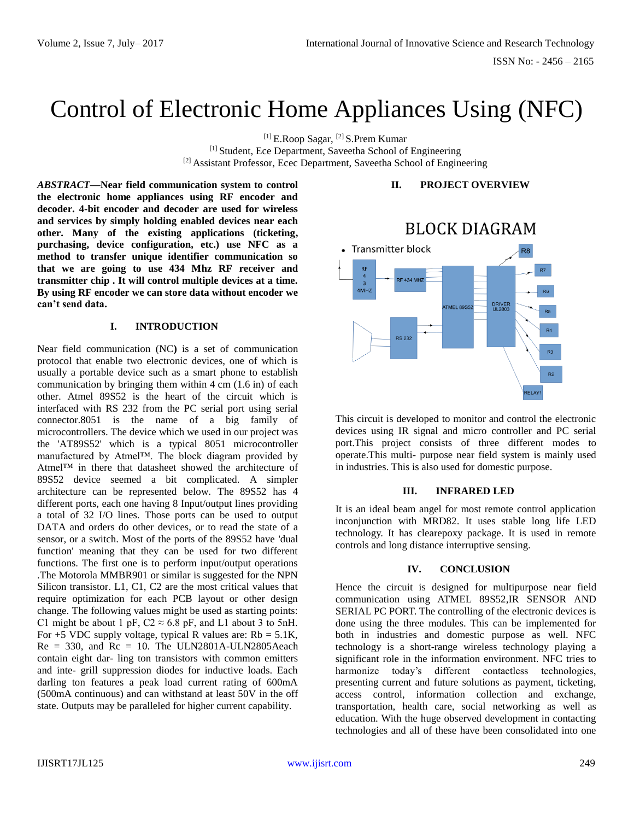# Control of Electronic Home Appliances Using (NFC)

[1] E.Roop Sagar, [2] S.Prem Kumar [1] Student, Ece Department, Saveetha School of Engineering [2] Assistant Professor, Ecec Department, Saveetha School of Engineering

*ABSTRACT—***Near field communication system to control the electronic home appliances using RF encoder and decoder. 4-bit encoder and decoder are used for wireless and services by simply holding enabled devices near each other. Many of the existing applications (ticketing, purchasing, device configuration, etc.) use NFC as a method to transfer unique identifier communication so that we are going to use 434 Mhz RF receiver and transmitter chip . It will control multiple devices at a time. By using RF encoder we can store data without encoder we can't send data.**

#### **I. INTRODUCTION**

Near field communication (NC**)** is a set of communication protocol that enable two electronic devices, one of which is usually a portable device such as a smart phone to establish communication by bringing them within 4 cm (1.6 in) of each other. Atmel 89S52 is the heart of the circuit which is interfaced with RS 232 from the PC serial port using serial connector.8051 is the name of a big family of microcontrollers. The device which we used in our project was the 'AT89S52' which is a typical 8051 microcontroller manufactured by Atmel™. The block diagram provided by Atmel™ in there that datasheet showed the architecture of 89S52 device seemed a bit complicated. A simpler architecture can be represented below. The 89S52 has 4 different ports, each one having 8 Input/output lines providing a total of 32 I/O lines. Those ports can be used to output DATA and orders do other devices, or to read the state of a sensor, or a switch. Most of the ports of the 89S52 have 'dual function' meaning that they can be used for two different functions. The first one is to perform input/output operations .The Motorola MMBR901 or similar is suggested for the NPN Silicon transistor. L1, C1, C2 are the most critical values that require optimization for each PCB layout or other design change. The following values might be used as starting points: C1 might be about 1 pF,  $C2 \approx 6.8$  pF, and L1 about 3 to 5nH. For  $+5$  VDC supply voltage, typical R values are: Rb =  $5.1$ K,  $Re = 330$ , and  $Re = 10$ . The ULN2801A-ULN2805Aeach contain eight dar- ling ton transistors with common emitters and inte- grill suppression diodes for inductive loads. Each darling ton features a peak load current rating of 600mA (500mA continuous) and can withstand at least 50V in the off state. Outputs may be paralleled for higher current capability.

## **II. PROJECT OVERVIEW**



This circuit is developed to monitor and control the electronic devices using IR signal and micro controller and PC serial port.This project consists of three different modes to operate.This multi- purpose near field system is mainly used in industries. This is also used for domestic purpose.

### **III. INFRARED LED**

It is an ideal beam angel for most remote control application inconjunction with MRD82. It uses stable long life LED technology. It has clearepoxy package. It is used in remote controls and long distance interruptive sensing.

### **IV. CONCLUSION**

Hence the circuit is designed for multipurpose near field communication using ATMEL 89S52,IR SENSOR AND SERIAL PC PORT. The controlling of the electronic devices is done using the three modules. This can be implemented for both in industries and domestic purpose as well. NFC technology is a short-range wireless technology playing a significant role in the information environment. NFC tries to harmonize today's different contactless technologies, presenting current and future solutions as payment, ticketing, access control, information collection and exchange, transportation, health care, social networking as well as education. With the huge observed development in contacting technologies and all of these have been consolidated into one